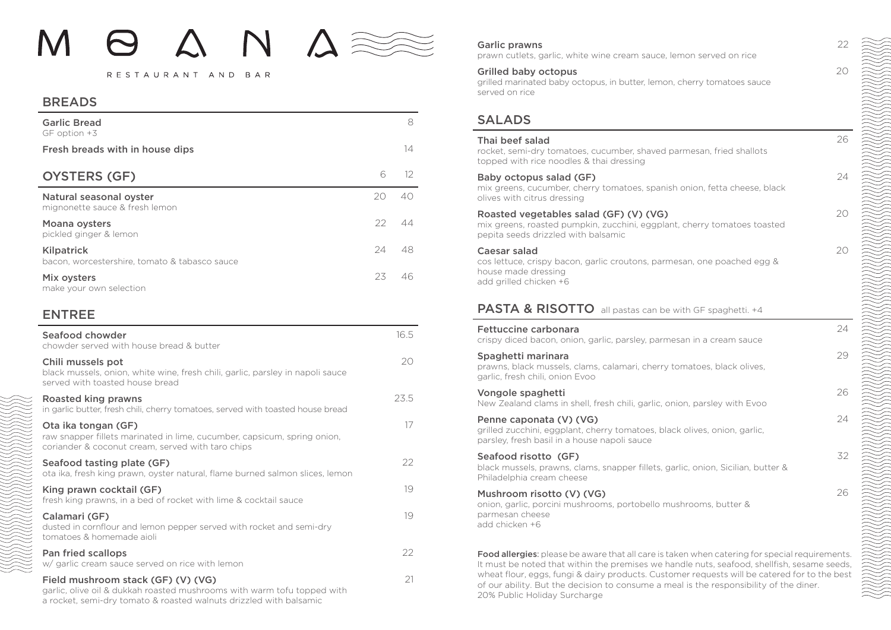#### RESTAURANT AND BAR

### BREADS

| <b>Garlic Bread</b><br>GF option +3                         |      | 8               |
|-------------------------------------------------------------|------|-----------------|
| Fresh breads with in house dips                             |      | 14              |
| <b>OYSTERS (GF)</b>                                         | 6    | 12 <sup>°</sup> |
| Natural seasonal oyster<br>mignonette sauce & fresh lemon   | 20   | 40.             |
| Moana oysters<br>pickled ginger & lemon                     | $22$ | 44              |
| Kilpatrick<br>bacon, worcestershire, tomato & tabasco sauce | 24   | 48              |
| Mix oysters<br>make your own selection                      | 23   | 46.             |

### ENTREE

| Seafood chowder<br>chowder served with house bread & butter                                                                                          | 16.5 |
|------------------------------------------------------------------------------------------------------------------------------------------------------|------|
| Chili mussels pot<br>black mussels, onion, white wine, fresh chili, garlic, parsley in napoli sauce<br>served with toasted house bread               | 20   |
| Roasted king prawns<br>in garlic butter, fresh chili, cherry tomatoes, served with toasted house bread                                               | 23.5 |
| Ota ika tongan (GF)<br>raw snapper fillets marinated in lime, cucumber, capsicum, spring onion,<br>coriander & coconut cream, served with taro chips | 17   |
| Seafood tasting plate (GF)<br>ota ika, fresh king prawn, oyster natural, flame burned salmon slices, lemon                                           | 22   |
| King prawn cocktail (GF)<br>fresh king prawns, in a bed of rocket with lime & cocktail sauce                                                         | 19   |
| Calamari (GF)<br>dusted in cornflour and lemon pepper served with rocket and semi-dry<br>tomatoes & homemade aioli                                   | 19   |
| Pan fried scallops<br>w/ garlic cream sauce served on rice with lemon                                                                                | 22   |
| Field mushroom stack (GF) (V) (VG)<br>garlic, olive oil & dukkah roasted mushrooms with warm tofu topped with                                        | 21   |

a rocket, semi-dry tomato & roasted walnuts drizzled with balsamic

### Garlic prawns

prawn cutlets, garlic, white wine cream sauce, lemon served on rice

### Grilled baby octopus

grilled marinated baby octopus, in butter, lemon, cherry tomatoes sauce served on rice

### SALADS

### Thai beef salad

rocket, semi-dry tomatoes, cucumber, shaved parmesan, fried shallots topped with rice noodles & thai dressing

### Baby octopus salad (GF)

mix greens, cucumber, cherry tomatoes, spanish onion, fetta cheese, black olives with citrus dressing

### Roasted vegetables salad (GF) (V) (VG)

mix greens, roasted pumpkin, zucchini, eggplant, cherry tomatoes toasted pepita seeds drizzled with balsamic

### Caesar salad

cos lettuce, crispy bacon, garlic croutons, parmesan, one poached egg & house made dressing add grilled chicken +6

## PASTA & RISOTTO all pastas can be with GF spaghetti. +4

#### Fettuccine carbonara

crispy diced bacon, onion, garlic, parsley, parmesan in a cream sauce

### Spaghetti marinara

prawns, black mussels, clams, calamari, cherry tomatoes, black olives, garlic, fresh chili, onion Evoo

### Vongole spaghetti

New Zealand clams in shell, fresh chili, garlic, onion, parsley with Evoo

### Penne caponata (V) (VG)

grilled zucchini, eggplant, cherry tomatoes, black olives, onion, garlic, parsley, fresh basil in a house napoli sauce

### Seafood risotto (GF)

black mussels, prawns, clams, snapper fillets, garlic, onion, Sicilian, butter & Philadelphia cream cheese

### Mushroom risotto (V) (VG)

onion, garlic, porcini mushrooms, portobello mushrooms, butter & parmesan cheese add chicken +6

Food allergies: please be aware that all care is taken when catering for special requirements. It must be noted that within the premises we handle nuts, seafood, shellfish, sesame seeds, wheat flour, eggs, fungi & dairy products. Customer requests will be catered for to the best of our ability. But the decision to consume a meal is the responsibility of the diner. 20% Public Holiday Surcharge

22